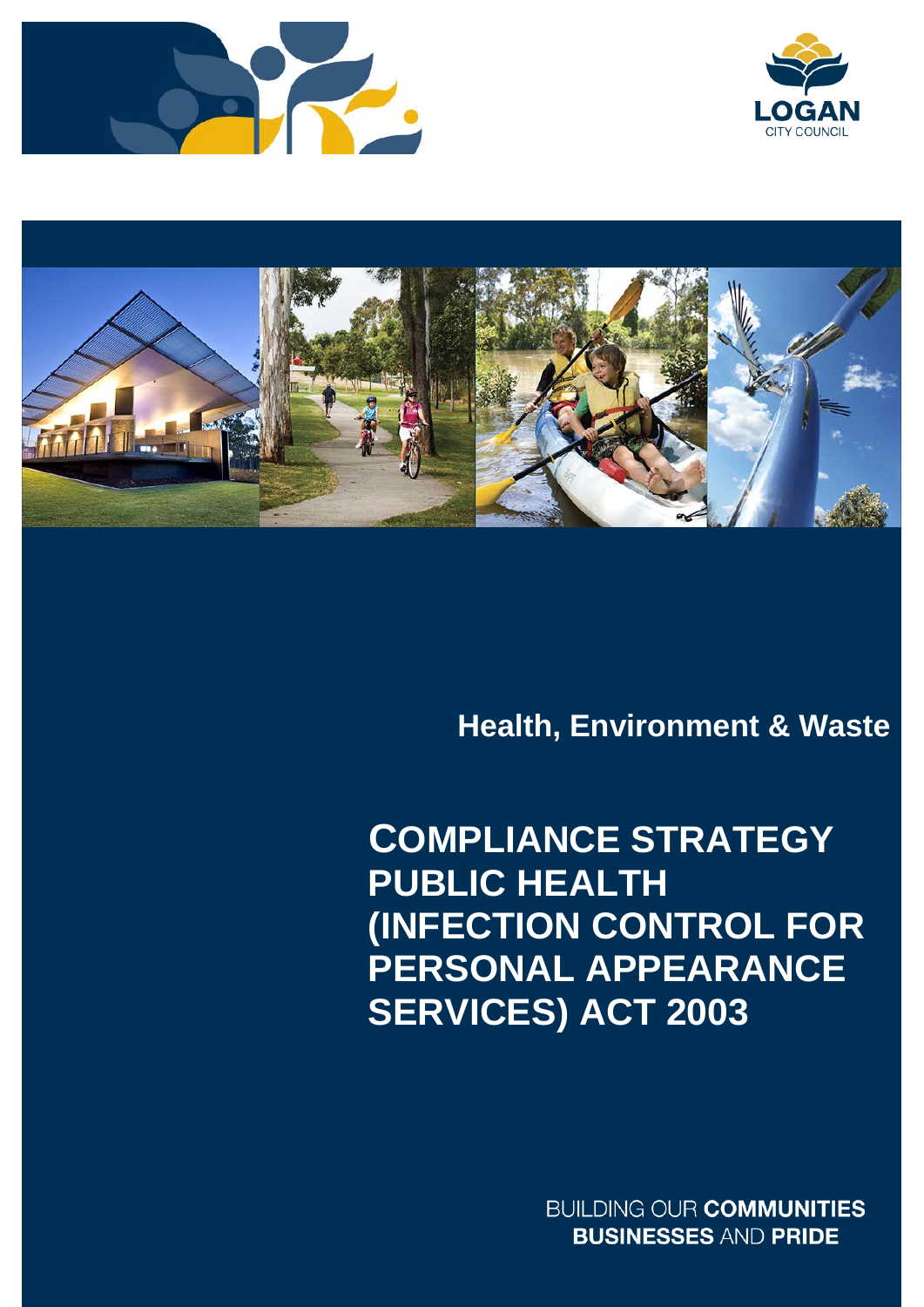





# **Health, Environment & Waste**

# **PUBLIC HEALTH (INFECTION CONTROL FOR SERVICES) ACT 2003COMPLIANCE STRATEGY PERSONAL APPEARANCE**

**BUILDING OUR COMMUNITIES BUSINESSES AND PRIDE**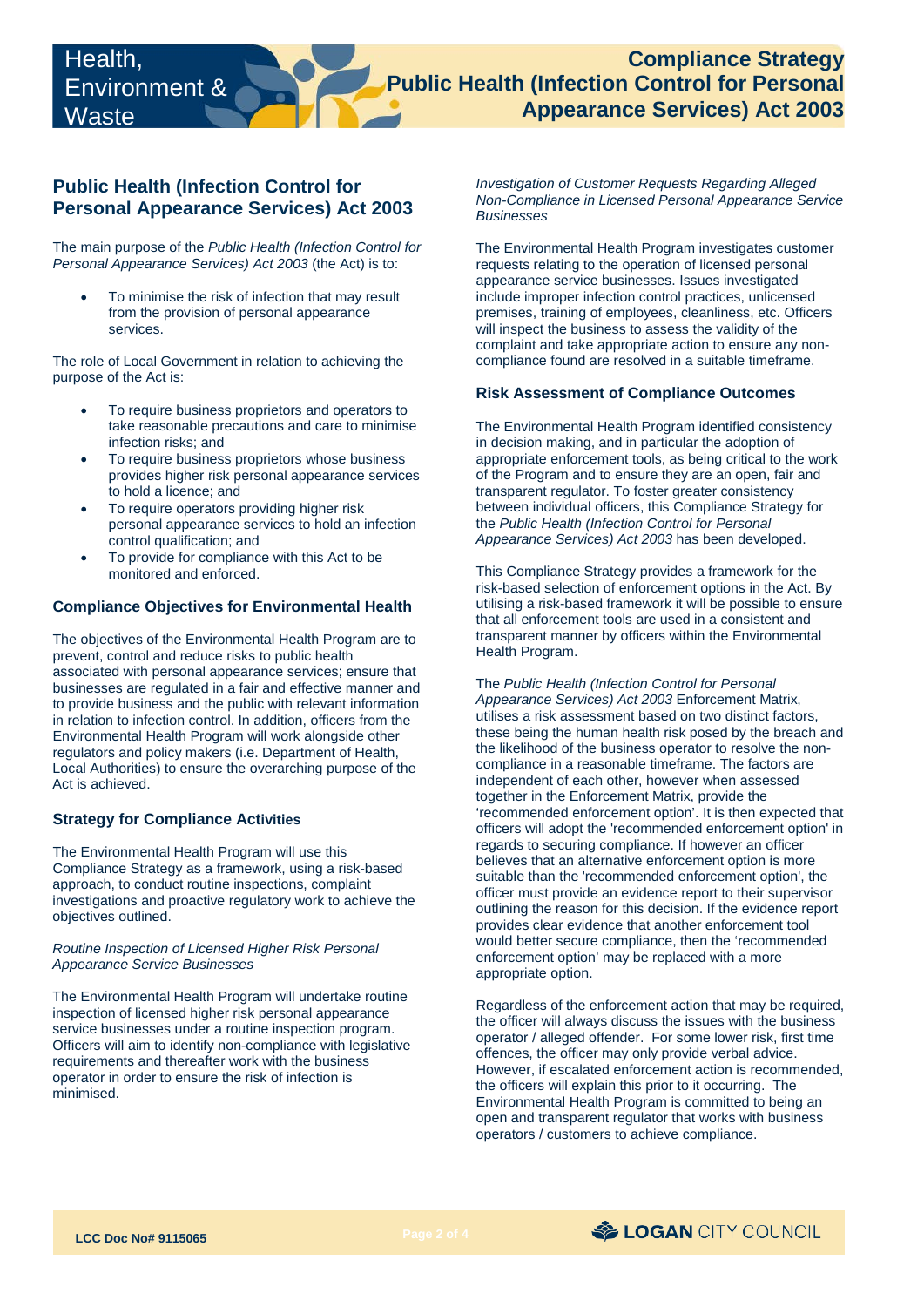# **Public Health (Infection Control for Personal Appearance Services) Act 2003**

The main purpose of the *Public Health (Infection Control for Personal Appearance Services) Act 2003* (the Act) is to:

 • To minimise the risk of infection that may result from the provision of personal appearance services.

The role of Local Government in relation to achieving the purpose of the Act is:

- To require business proprietors and operators to take reasonable precautions and care to minimise infection risks; and
- To require business proprietors whose business provides higher risk personal appearance services to hold a licence; and
- To require operators providing higher risk personal appearance services to hold an infection control qualification; and
- To provide for compliance with this Act to be monitored and enforced.

# **Compliance Objectives for Environmental Health**

 businesses are regulated in a fair and effective manner and The objectives of the Environmental Health Program are to prevent, control and reduce risks to public health associated with personal appearance services; ensure that to provide business and the public with relevant information in relation to infection control. In addition, officers from the Environmental Health Program will work alongside other regulators and policy makers (i.e. Department of Health, Local Authorities) to ensure the overarching purpose of the Act is achieved.

# **Strategy for Compliance Activities**

 The Environmental Health Program will use this Compliance Strategy as a framework, using a risk-based approach, to conduct routine inspections, complaint investigations and proactive regulatory work to achieve the objectives outlined.

#### *Routine Inspection of Licensed Higher Risk Personal Appearance Service Businesses*

 operator in order to ensure the risk of infection is The Environmental Health Program will undertake routine inspection of licensed higher risk personal appearance service businesses under a routine inspection program. Officers will aim to identify non-compliance with legislative requirements and thereafter work with the business minimised.

*Investigation of Customer Requests Regarding Alleged Non-Compliance in Licensed Personal Appearance Service Businesses* 

 The Environmental Health Program investigates customer requests relating to the operation of licensed personal appearance service businesses. Issues investigated include improper infection control practices, unlicensed premises, training of employees, cleanliness, etc. Officers will inspect the business to assess the validity of the complaint and take appropriate action to ensure any noncompliance found are resolved in a suitable timeframe.

#### **Risk Assessment of Compliance Outcomes**

 appropriate enforcement tools, as being critical to the work The Environmental Health Program identified consistency in decision making, and in particular the adoption of of the Program and to ensure they are an open, fair and transparent regulator. To foster greater consistency between individual officers, this Compliance Strategy for the *Public Health (Infection Control for Personal Appearance Services) Act 2003* has been developed.

 risk-based selection of enforcement options in the Act. By This Compliance Strategy provides a framework for the utilising a risk-based framework it will be possible to ensure that all enforcement tools are used in a consistent and transparent manner by officers within the Environmental Health Program.

 officer must provide an evidence report to their supervisor enforcement option' may be replaced with a more The *Public Health (Infection Control for Personal Appearance Services) Act 2003* Enforcement Matrix, utilises a risk assessment based on two distinct factors, these being the human health risk posed by the breach and the likelihood of the business operator to resolve the noncompliance in a reasonable timeframe. The factors are independent of each other, however when assessed together in the Enforcement Matrix, provide the 'recommended enforcement option'. It is then expected that officers will adopt the 'recommended enforcement option' in regards to securing compliance. If however an officer believes that an alternative enforcement option is more suitable than the 'recommended enforcement option', the outlining the reason for this decision. If the evidence report provides clear evidence that another enforcement tool would better secure compliance, then the 'recommended appropriate option.

Regardless of the enforcement action that may be required, the officer will always discuss the issues with the business operator / alleged offender. For some lower risk, first time offences, the officer may only provide verbal advice. However, if escalated enforcement action is recommended, the officers will explain this prior to it occurring. The Environmental Health Program is committed to being an open and transparent regulator that works with business operators / customers to achieve compliance.

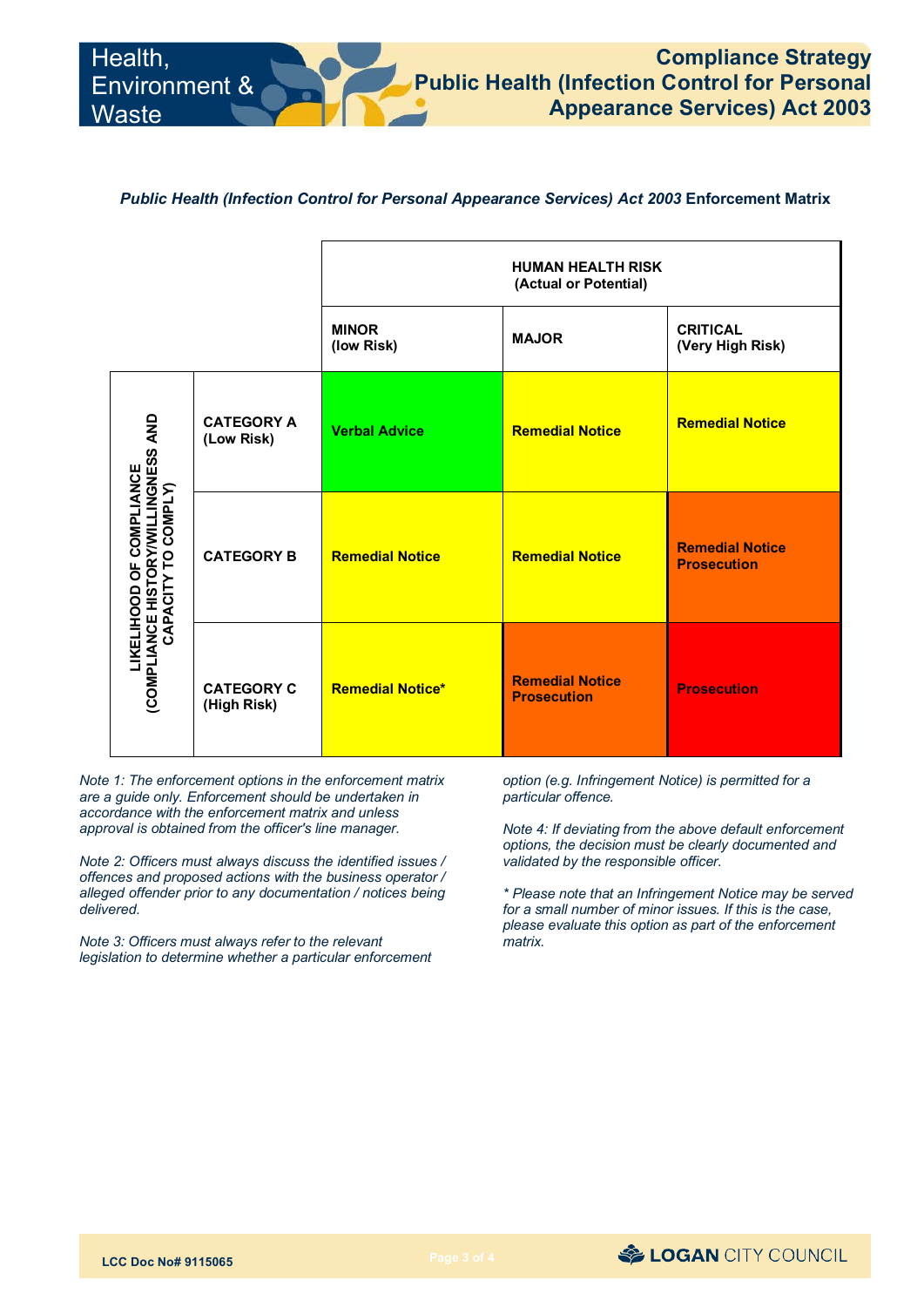# *Public Health (Infection Control for Personal Appearance Services) Act 2003* **Enforcement Matrix**

|                                                                                                        |                                  | <b>HUMAN HEALTH RISK</b><br>(Actual or Potential) |                                              |                                              |
|--------------------------------------------------------------------------------------------------------|----------------------------------|---------------------------------------------------|----------------------------------------------|----------------------------------------------|
|                                                                                                        |                                  | <b>MINOR</b><br>(low Risk)                        | <b>MAJOR</b>                                 | <b>CRITICAL</b><br>(Very High Risk)          |
| LIKELIHOOD OF COMPLIANCE<br>(COMPLIANCE HISTORY/WILLINGNESS AND<br>(COMPLIANCE HISTORY/WILLINGNESS AND | <b>CATEGORY A</b><br>(Low Risk)  | <b>Verbal Advice</b>                              | <b>Remedial Notice</b>                       | <b>Remedial Notice</b>                       |
|                                                                                                        | <b>CATEGORY B</b>                | <b>Remedial Notice</b>                            | <b>Remedial Notice</b>                       | <b>Remedial Notice</b><br><b>Prosecution</b> |
|                                                                                                        | <b>CATEGORY C</b><br>(High Risk) | <b>Remedial Notice*</b>                           | <b>Remedial Notice</b><br><b>Prosecution</b> | <b>Prosecution</b>                           |

*Note 1: The enforcement options in the enforcement matrix are a guide only. Enforcement should be undertaken in accordance with the enforcement matrix and unless approval is obtained from the officer's line manager.*

*Note 2: Officers must always discuss the identified issues / offences and proposed actions with the business operator / alleged offender prior to any documentation / notices being delivered.*

*Note 3: Officers must always refer to the relevant legislation to determine whether a particular enforcement* *option (e.g. Infringement Notice) is permitted for a particular offence.*

*Note 4: If deviating from the above default enforcement options, the decision must be clearly documented and validated by the responsible officer.*

*\* Please note that an Infringement Notice may be served for a small number of minor issues. If this is the case, please evaluate this option as part of the enforcement matrix.*